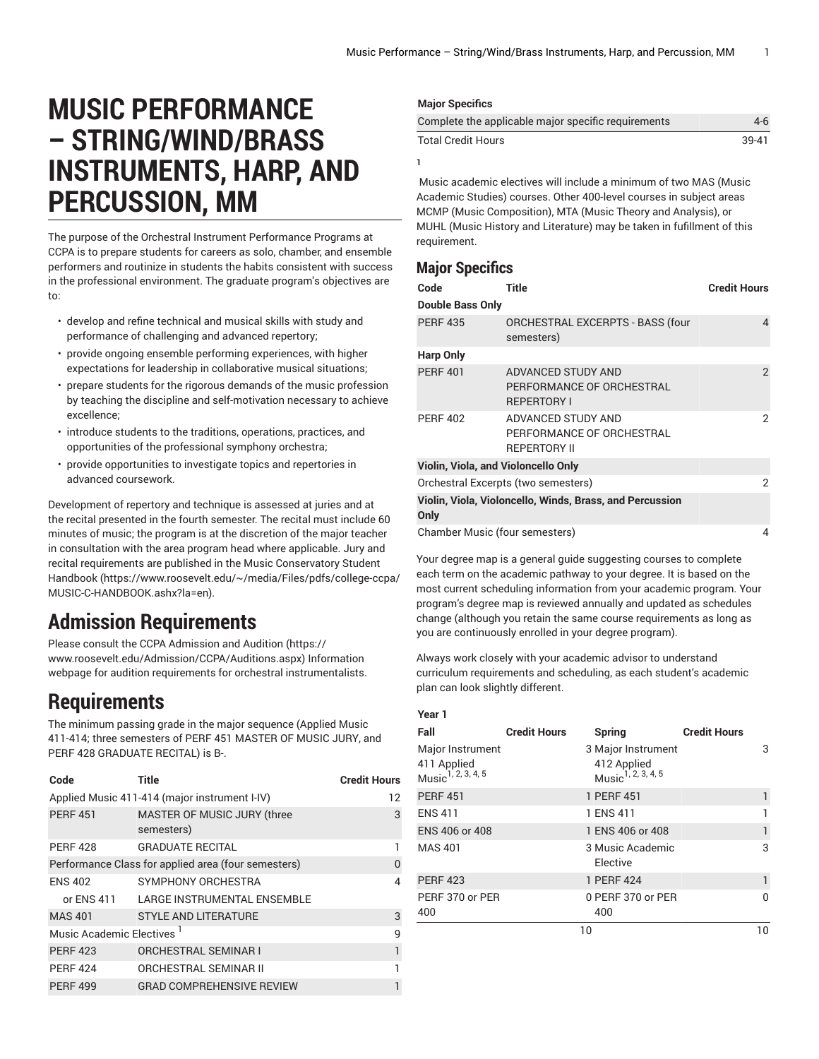# **MUSIC PERFORMANCE – STRING/WIND/BRASS INSTRUMENTS, HARP, AND PERCUSSION, MM**

The purpose of the Orchestral Instrument Performance Programs at CCPA is to prepare students for careers as solo, chamber, and ensemble performers and routinize in students the habits consistent with success in the professional environment. The graduate program's objectives are to:

- develop and refine technical and musical skills with study and performance of challenging and advanced repertory;
- provide ongoing ensemble performing experiences, with higher expectations for leadership in collaborative musical situations;
- prepare students for the rigorous demands of the music profession by teaching the discipline and self-motivation necessary to achieve excellence;
- introduce students to the traditions, operations, practices, and opportunities of the professional symphony orchestra;
- provide opportunities to investigate topics and repertories in advanced coursework.

Development of repertory and technique is assessed at juries and at the recital presented in the fourth semester. The recital must include 60 minutes of music; the program is at the discretion of the major teacher in consultation with the area program head where applicable. Jury and recital requirements are published in the Music [Conservatory](https://www.roosevelt.edu/~/media/Files/pdfs/college-ccpa/MUSIC-C-HANDBOOK.ashx?la=en) Student [Handbook](https://www.roosevelt.edu/~/media/Files/pdfs/college-ccpa/MUSIC-C-HANDBOOK.ashx?la=en) ([https://www.roosevelt.edu/~/media/Files/pdfs/college-ccpa/](https://www.roosevelt.edu/~/media/Files/pdfs/college-ccpa/MUSIC-C-HANDBOOK.ashx?la=en) [MUSIC-C-HANDBOOK.ashx?la=en\)](https://www.roosevelt.edu/~/media/Files/pdfs/college-ccpa/MUSIC-C-HANDBOOK.ashx?la=en).

## **Admission Requirements**

Please consult the CCPA [Admission](https://www.roosevelt.edu/Admission/CCPA/Auditions.aspx) and Audition ([https://](https://www.roosevelt.edu/Admission/CCPA/Auditions.aspx) [www.roosevelt.edu/Admission/CCPA/Auditions.aspx\)](https://www.roosevelt.edu/Admission/CCPA/Auditions.aspx) Information webpage for audition requirements for orchestral instrumentalists.

## **Requirements**

The minimum passing grade in the major sequence (Applied Music 411-414; three semesters of PERF 451 MASTER OF MUSIC JURY, and PERF 428 GRADUATE RECITAL) is B-.

| Code                     | <b>Title</b>                                        | <b>Credit Hours</b> |  |  |  |
|--------------------------|-----------------------------------------------------|---------------------|--|--|--|
|                          | Applied Music 411-414 (major instrument I-IV)       |                     |  |  |  |
| <b>PERF 451</b>          | MASTER OF MUSIC JURY (three<br>semesters)           | 3                   |  |  |  |
| <b>PERF 428</b>          | <b>GRADUATE RECITAL</b>                             |                     |  |  |  |
|                          | Performance Class for applied area (four semesters) | 0                   |  |  |  |
| <b>ENS 402</b>           | SYMPHONY ORCHESTRA                                  | 4                   |  |  |  |
| or ENS 411               | LARGE INSTRUMENTAL ENSEMBLE                         |                     |  |  |  |
| <b>MAS 401</b>           | <b>STYLE AND LITERATURE</b>                         | 3                   |  |  |  |
| Music Academic Electives |                                                     | q                   |  |  |  |
| <b>PERF 423</b>          | <b>ORCHESTRAL SEMINAR I</b>                         | 1                   |  |  |  |
| <b>PERF 424</b>          | ORCHESTRAL SEMINAR II                               |                     |  |  |  |
| <b>PERF 499</b>          | <b>GRAD COMPREHENSIVE REVIEW</b>                    |                     |  |  |  |

## **Major Specifics**

| Complete the applicable major specific requirements | 4-6   |
|-----------------------------------------------------|-------|
| <b>Total Credit Hours</b>                           | 39-41 |

**1**

Music academic electives will include a minimum of two MAS (Music Academic Studies) courses. Other 400-level courses in subject areas MCMP (Music Composition), MTA (Music Theory and Analysis), or MUHL (Music History and Literature) may be taken in fufillment of this requirement.

## **Major Specifics**

| Code                                | Title                                                                  | <b>Credit Hours</b> |  |  |  |
|-------------------------------------|------------------------------------------------------------------------|---------------------|--|--|--|
| <b>Double Bass Only</b>             |                                                                        |                     |  |  |  |
| <b>PERF 435</b>                     | <b>ORCHESTRAL EXCERPTS - BASS (four</b><br>semesters)                  | 4                   |  |  |  |
| <b>Harp Only</b>                    |                                                                        |                     |  |  |  |
| <b>PERF 401</b>                     | ADVANCED STUDY AND<br>PERFORMANCE OF ORCHESTRAL<br><b>REPERTORY I</b>  | 2                   |  |  |  |
| <b>PERF 402</b>                     | ADVANCED STUDY AND<br>PERFORMANCE OF ORCHESTRAL<br><b>REPERTORY II</b> | 2                   |  |  |  |
| Violin, Viola, and Violoncello Only |                                                                        |                     |  |  |  |
| Orchestral Excerpts (two semesters) | 2                                                                      |                     |  |  |  |
| Only                                | Violin, Viola, Violoncello, Winds, Brass, and Percussion               |                     |  |  |  |
| Chamber Music (four semesters)      |                                                                        | 4                   |  |  |  |

Your degree map is a general guide suggesting courses to complete each term on the academic pathway to your degree. It is based on the most current scheduling information from your academic program. Your program's degree map is reviewed annually and updated as schedules change (although you retain the same course requirements as long as you are continuously enrolled in your degree program).

Always work closely with your academic advisor to understand curriculum requirements and scheduling, as each student's academic plan can look slightly different.

| <b>Credit Hours</b><br>3 |
|--------------------------|
|                          |
|                          |
| 1                        |
|                          |
| 1                        |
| 3                        |
| 1                        |
| $\Omega$                 |
| 10                       |
|                          |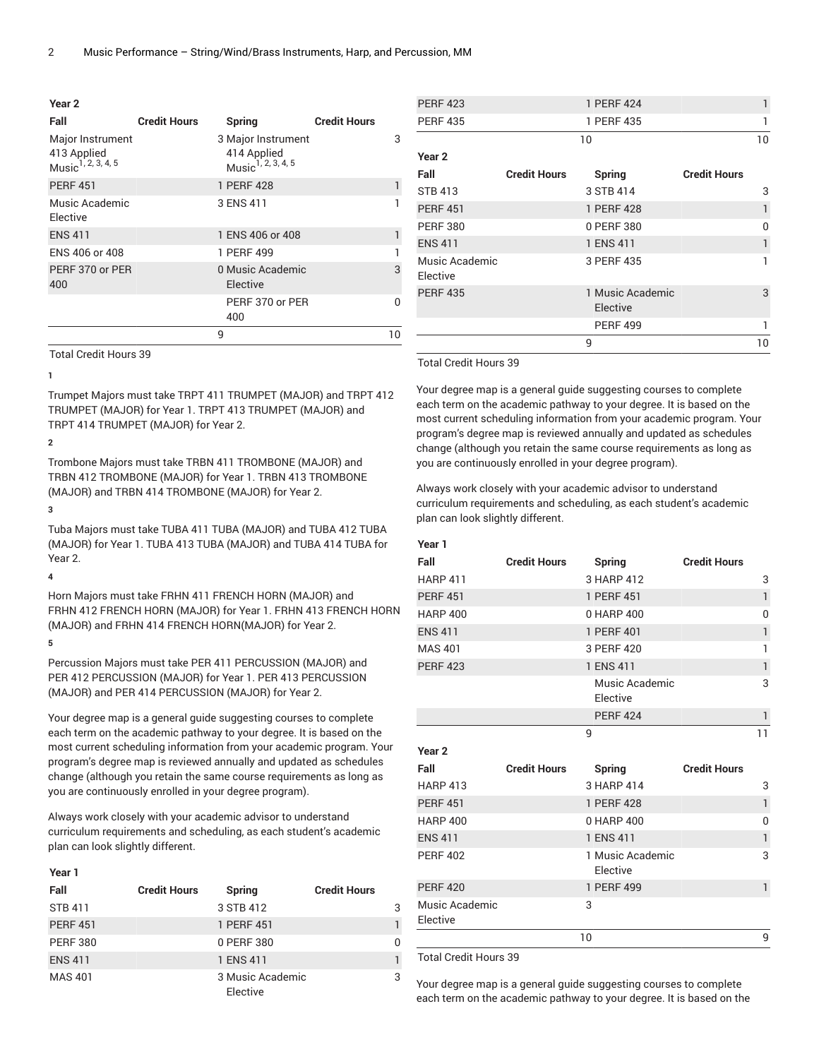| Year 2                                                            |                     |                                                                     |                     |    |
|-------------------------------------------------------------------|---------------------|---------------------------------------------------------------------|---------------------|----|
| Fall                                                              | <b>Credit Hours</b> | Spring                                                              | <b>Credit Hours</b> |    |
| Major Instrument<br>413 Applied<br>Music <sup>1, 2, 3, 4, 5</sup> |                     | 3 Major Instrument<br>414 Applied<br>Music <sup>1, 2, 3, 4, 5</sup> |                     | 3  |
| <b>PERF 451</b>                                                   |                     | 1 PERF 428                                                          |                     |    |
| Music Academic<br>Elective                                        |                     | 3 ENS 411                                                           |                     | 1  |
| <b>ENS 411</b>                                                    |                     | 1 ENS 406 or 408                                                    |                     |    |
| ENS 406 or 408                                                    |                     | 1 PERF 499                                                          |                     |    |
| PERF 370 or PER<br>400                                            |                     | 0 Music Academic<br>Elective                                        |                     | 3  |
|                                                                   |                     | PERF 370 or PER<br>400                                              |                     | 0  |
|                                                                   |                     | 9                                                                   |                     | 10 |
|                                                                   |                     |                                                                     |                     |    |

Total Credit Hours 39

#### **1**

Trumpet Majors must take TRPT 411 TRUMPET (MAJOR) and TRPT 412 TRUMPET (MAJOR) for Year 1. TRPT 413 TRUMPET (MAJOR) and TRPT 414 TRUMPET (MAJOR) for Year 2.

## **2**

Trombone Majors must take TRBN 411 TROMBONE (MAJOR) and TRBN 412 TROMBONE (MAJOR) for Year 1. TRBN 413 TROMBONE (MAJOR) and TRBN 414 TROMBONE (MAJOR) for Year 2.

## **3**

Tuba Majors must take TUBA 411 TUBA (MAJOR) and TUBA 412 TUBA (MAJOR) for Year 1. TUBA 413 TUBA (MAJOR) and TUBA 414 TUBA for Year 2.

## **4**

Horn Majors must take FRHN 411 FRENCH HORN (MAJOR) and FRHN 412 FRENCH HORN (MAJOR) for Year 1. FRHN 413 FRENCH HORN (MAJOR) and FRHN 414 FRENCH HORN(MAJOR) for Year 2.

## **5**

Percussion Majors must take PER 411 PERCUSSION (MAJOR) and PER 412 PERCUSSION (MAJOR) for Year 1. PER 413 PERCUSSION (MAJOR) and PER 414 PERCUSSION (MAJOR) for Year 2.

Your degree map is a general guide suggesting courses to complete each term on the academic pathway to your degree. It is based on the most current scheduling information from your academic program. Your program's degree map is reviewed annually and updated as schedules change (although you retain the same course requirements as long as you are continuously enrolled in your degree program).

Always work closely with your academic advisor to understand curriculum requirements and scheduling, as each student's academic plan can look slightly different.

## **Year 1**

| Fall            | <b>Credit Hours</b> | <b>Spring</b>                | <b>Credit Hours</b> |   |
|-----------------|---------------------|------------------------------|---------------------|---|
| <b>STB 411</b>  |                     | 3 STB 412                    |                     | 3 |
| <b>PERF 451</b> |                     | 1 PERF 451                   |                     | 1 |
| <b>PERF 380</b> |                     | 0 PERF 380                   |                     | 0 |
| <b>ENS 411</b>  |                     | 1 ENS 411                    |                     |   |
| <b>MAS 401</b>  |                     | 3 Music Academic<br>Elective |                     | 3 |

| <b>PERF 423</b>            |                     | 1 PERF 424                   |                     |              |
|----------------------------|---------------------|------------------------------|---------------------|--------------|
| <b>PERF 435</b>            |                     | 1 PERF 435                   |                     |              |
|                            |                     | 10                           |                     | 10           |
| Year 2                     |                     |                              |                     |              |
| Fall                       | <b>Credit Hours</b> | Spring                       | <b>Credit Hours</b> |              |
| <b>STB 413</b>             |                     | 3 STB 414                    |                     | 3            |
| <b>PERF 451</b>            |                     | 1 PERF 428                   |                     | $\mathbf{1}$ |
| <b>PERF 380</b>            |                     | 0 PERF 380                   |                     | $\Omega$     |
| <b>ENS 411</b>             |                     | 1 ENS 411                    |                     | 1            |
| Music Academic<br>Elective |                     | 3 PERF 435                   |                     |              |
| <b>PERF 435</b>            |                     | 1 Music Academic<br>Elective |                     | 3            |
|                            |                     | <b>PERF 499</b>              |                     | 1            |
|                            |                     | 9                            |                     | 10           |

Total Credit Hours 39

Your degree map is a general guide suggesting courses to complete each term on the academic pathway to your degree. It is based on the most current scheduling information from your academic program. Your program's degree map is reviewed annually and updated as schedules change (although you retain the same course requirements as long as you are continuously enrolled in your degree program).

Always work closely with your academic advisor to understand curriculum requirements and scheduling, as each student's academic plan can look slightly different.

| Year 1            |                     |                              |                     |                |
|-------------------|---------------------|------------------------------|---------------------|----------------|
| Fall              | <b>Credit Hours</b> | <b>Spring</b>                | <b>Credit Hours</b> |                |
| <b>HARP 411</b>   |                     | 3 HARP 412                   |                     | 3              |
| <b>PERF 451</b>   |                     | 1 PERF 451                   |                     | $\mathbf{1}$   |
| <b>HARP 400</b>   |                     | 0 HARP 400                   |                     | $\overline{0}$ |
| <b>ENS 411</b>    |                     | 1 PERF 401                   |                     | $\mathbf{1}$   |
| <b>MAS 401</b>    |                     | 3 PERF 420                   |                     | 1              |
| <b>PERF 423</b>   |                     | 1 ENS 411                    |                     | $\mathbf{1}$   |
|                   |                     | Music Academic<br>Elective   |                     | 3              |
|                   |                     | <b>PERF 424</b>              |                     | $\mathbf{1}$   |
|                   |                     | 9                            |                     | 11             |
| Year <sub>2</sub> |                     |                              |                     |                |
| Fall              | <b>Credit Hours</b> | Spring                       | <b>Credit Hours</b> |                |
| <b>HARP 413</b>   |                     | 3 HARP 414                   |                     | 3              |
| <b>PERF 451</b>   |                     | 1 PERF 428                   |                     | $\mathbf{1}$   |
| <b>HARP 400</b>   |                     | 0 HARP 400                   |                     | 0              |
| <b>ENS 411</b>    |                     | 1 ENS 411                    |                     | $\mathbf{1}$   |
| <b>PERF 402</b>   |                     | 1 Music Academic<br>Elective |                     | 3              |
| <b>PERF 420</b>   |                     | 1 PERF 499                   |                     | 1              |
| Music Academic    |                     | 3                            |                     |                |
| Elective          |                     |                              |                     |                |

Total Credit Hours 39

Your degree map is a general guide suggesting courses to complete each term on the academic pathway to your degree. It is based on the